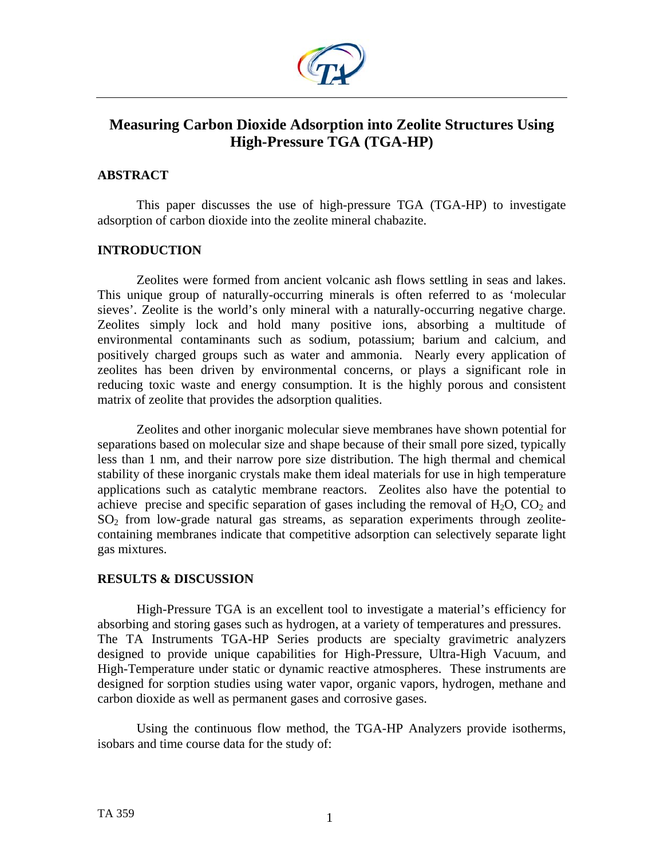

# **Measuring Carbon Dioxide Adsorption into Zeolite Structures Using High-Pressure TGA (TGA-HP)**

# **ABSTRACT**

This paper discusses the use of high-pressure TGA (TGA-HP) to investigate adsorption of carbon dioxide into the zeolite mineral chabazite.

# **INTRODUCTION**

Zeolites were formed from ancient volcanic ash flows settling in seas and lakes. This unique group of naturally-occurring minerals is often referred to as 'molecular sieves'. Zeolite is the world's only mineral with a naturally-occurring negative charge. Zeolites simply lock and hold many positive ions, absorbing a multitude of environmental contaminants such as sodium, potassium; barium and calcium, and positively charged groups such as water and ammonia. Nearly every application of zeolites has been driven by environmental concerns, or plays a significant role in reducing toxic waste and energy consumption. It is the highly porous and consistent matrix of zeolite that provides the adsorption qualities.

Zeolites and other inorganic molecular sieve membranes have shown potential for separations based on molecular size and shape because of their small pore sized, typically less than 1 nm, and their narrow pore size distribution. The high thermal and chemical stability of these inorganic crystals make them ideal materials for use in high temperature applications such as catalytic membrane reactors. Zeolites also have the potential to achieve precise and specific separation of gases including the removal of  $H_2O$ ,  $CO_2$  and  $SO<sub>2</sub>$  from low-grade natural gas streams, as separation experiments through zeolitecontaining membranes indicate that competitive adsorption can selectively separate light gas mixtures.

## **RESULTS & DISCUSSION**

 High-Pressure TGA is an excellent tool to investigate a material's efficiency for absorbing and storing gases such as hydrogen, at a variety of temperatures and pressures. The TA Instruments TGA-HP Series products are specialty gravimetric analyzers designed to provide unique capabilities for High-Pressure, Ultra-High Vacuum, and High-Temperature under static or dynamic reactive atmospheres. These instruments are designed for sorption studies using water vapor, organic vapors, hydrogen, methane and carbon dioxide as well as permanent gases and corrosive gases.

Using the continuous flow method, the TGA-HP Analyzers provide isotherms, isobars and time course data for the study of: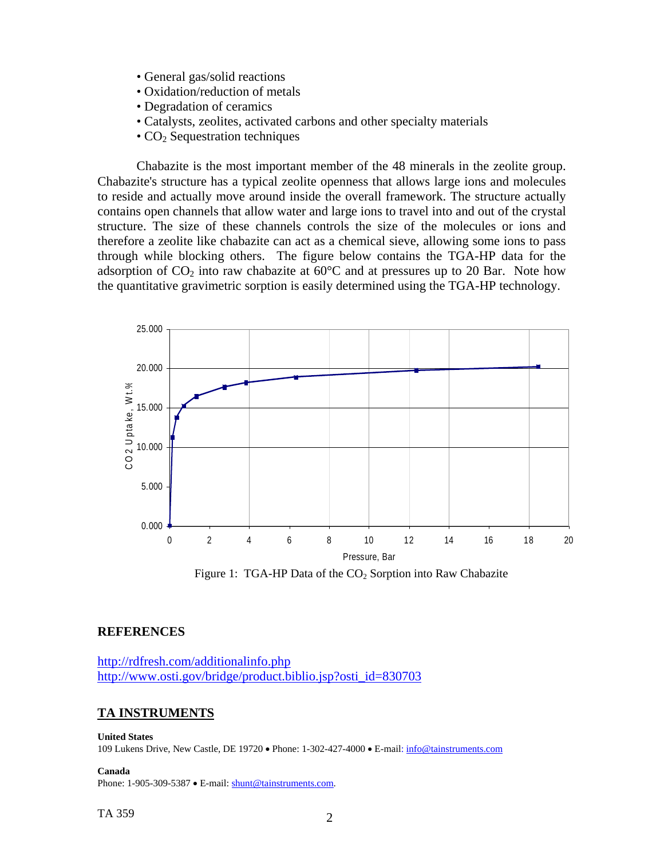- General gas/solid reactions
- Oxidation/reduction of metals
- Degradation of ceramics
- Catalysts, zeolites, activated carbons and other specialty materials
- $\cdot$  CO<sub>2</sub> Sequestration techniques

Chabazite is the most important member of the 48 minerals in the zeolite group. Chabazite's structure has a typical zeolite openness that allows large ions and molecules to reside and actually move around inside the overall framework. The structure actually contains open channels that allow water and large ions to travel into and out of the crystal structure. The size of these channels controls the size of the molecules or ions and therefore a zeolite like chabazite can act as a chemical sieve, allowing some ions to pass through while blocking others. The figure below contains the TGA-HP data for the adsorption of  $CO_2$  into raw chabazite at 60 $\degree$ C and at pressures up to 20 Bar. Note how the quantitative gravimetric sorption is easily determined using the TGA-HP technology.



Figure 1: TGA-HP Data of the  $CO<sub>2</sub>$  Sorption into Raw Chabazite

## **REFERENCES**

<http://rdfresh.com/additionalinfo.php> [http://www.osti.gov/bridge/product.biblio.jsp?osti\\_id=830703](http://www.osti.gov/bridge/product.biblio.jsp?osti_id=830703)

## **TA INSTRUMENTS**

#### **United States**

109 Lukens Drive, New Castle, DE 19720 • Phone: 1-302-427-4000 • E-mail: [info@tainstruments.com](mailto:info@tainstruments.com) 

**Canada** 

Phone: 1-905-309-5387 • E-mail: [shunt@tainstruments.com.](mailto:shunt@tainstruments.com)